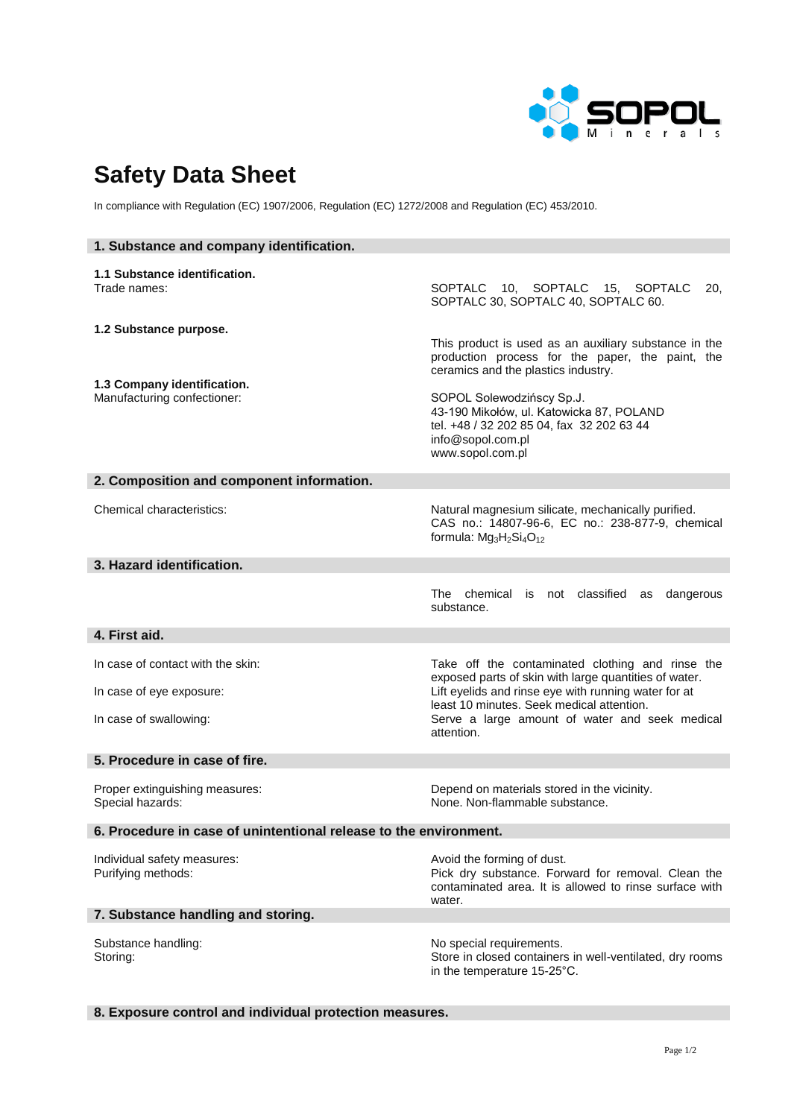

## **Safety Data Sheet**

In compliance with Regulation (EC) 1907/2006, Regulation (EC) 1272/2008 and Regulation (EC) 453/2010.

| 1. Substance and company identification.                          |                                                                                                                                                                                   |
|-------------------------------------------------------------------|-----------------------------------------------------------------------------------------------------------------------------------------------------------------------------------|
| 1.1 Substance identification.<br>Trade names:                     | SOPTALC 10, SOPTALC 15, SOPTALC<br>20.<br>SOPTALC 30, SOPTALC 40, SOPTALC 60.                                                                                                     |
| 1.2 Substance purpose.                                            | This product is used as an auxiliary substance in the<br>production process for the paper, the paint, the<br>ceramics and the plastics industry.                                  |
| 1.3 Company identification.<br>Manufacturing confectioner:        | SOPOL Solewodzińscy Sp.J.<br>43-190 Mikołów, ul. Katowicka 87, POLAND<br>tel. +48 / 32 202 85 04, fax 32 202 63 44<br>info@sopol.com.pl<br>www.sopol.com.pl                       |
| 2. Composition and component information.                         |                                                                                                                                                                                   |
| <b>Chemical characteristics:</b>                                  | Natural magnesium silicate, mechanically purified.<br>CAS no.: 14807-96-6, EC no.: 238-877-9, chemical<br>formula: Mg <sub>3</sub> H <sub>2</sub> Si <sub>4</sub> O <sub>12</sub> |
| 3. Hazard identification.                                         |                                                                                                                                                                                   |
|                                                                   | The chemical is not classified<br>dangerous<br>as<br>substance.                                                                                                                   |
| 4. First aid.                                                     |                                                                                                                                                                                   |
| In case of contact with the skin:<br>In case of eye exposure:     | Take off the contaminated clothing and rinse the<br>exposed parts of skin with large quantities of water.<br>Lift eyelids and rinse eye with running water for at                 |
| In case of swallowing:                                            | least 10 minutes. Seek medical attention.<br>Serve a large amount of water and seek medical<br>attention.                                                                         |
| 5. Procedure in case of fire.                                     |                                                                                                                                                                                   |
| Proper extinguishing measures:<br>Special hazards:                | Depend on materials stored in the vicinity.<br>None. Non-flammable substance.                                                                                                     |
| 6. Procedure in case of unintentional release to the environment. |                                                                                                                                                                                   |
| Individual safety measures:<br>Purifying methods:                 | Avoid the forming of dust.<br>Pick dry substance. Forward for removal. Clean the<br>contaminated area. It is allowed to rinse surface with<br>water.                              |
| 7. Substance handling and storing.                                |                                                                                                                                                                                   |
| Substance handling:<br>Storing:                                   | No special requirements.<br>Store in closed containers in well-ventilated, dry rooms<br>in the temperature 15-25°C.                                                               |

## **8. Exposure control and individual protection measures.**